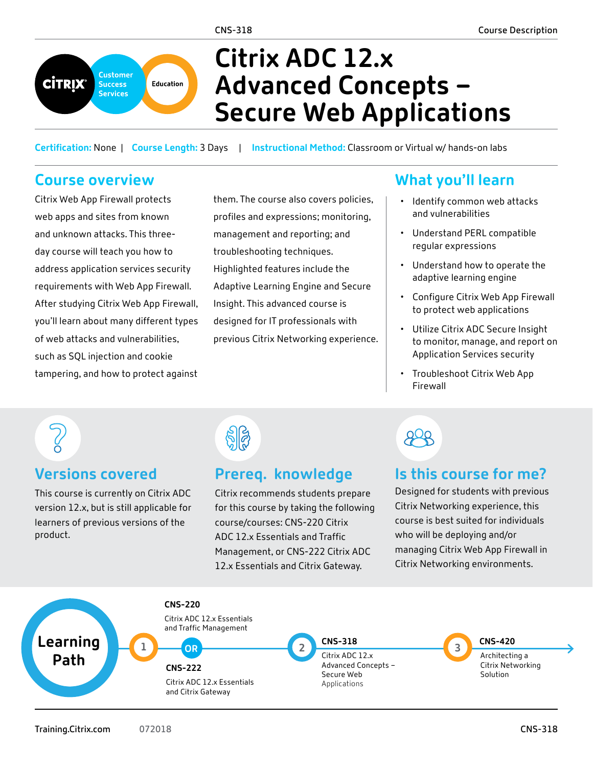

# **Citrix ADC 12.x Advanced Concepts – Secure Web Applications**

**Certification:** None | **Course Length:** 3 Days | **Instructional Method:** Classroom or Virtual w/ hands-on labs

## **Course overview**

Citrix Web App Firewall protects web apps and sites from known and unknown attacks. This threeday course will teach you how to address application services security requirements with Web App Firewall. After studying Citrix Web App Firewall, you'll learn about many different types of web attacks and vulnerabilities, such as SQL injection and cookie tampering, and how to protect against

them. The course also covers policies, profiles and expressions; monitoring, management and reporting; and troubleshooting techniques. Highlighted features include the Adaptive Learning Engine and Secure Insight. This advanced course is designed for IT professionals with previous Citrix Networking experience.

# **What you'll learn**

- Identify common web attacks and vulnerabilities
- Understand PERL compatible regular expressions
- Understand how to operate the adaptive learning engine
- Configure Citrix Web App Firewall to protect web applications
- Utilize Citrix ADC Secure Insight to monitor, manage, and report on Application Services security
- Troubleshoot Citrix Web App Firewall

### **Versions covered**

This course is currently on Citrix ADC version 12.x, but is still applicable for learners of previous versions of the product.



### **Prereq. knowledge**

Citrix recommends students prepare for this course by taking the following course/courses: [CNS-220](http://training.citrix.com/mod/ctxcatalog/course.php?id=1523) Citrix ADC 12.x Essentials and Traffic Management, or [CNS-222](http://training.citrix.com/mod/ctxcatalog/course.php?id=1527) Citrix ADC 12.x Essentials and Citrix Gateway.



## **Is this course for me?**

Designed for students with previous Citrix Networking experience, this course is best suited for individuals who will be deploying and/or managing Citrix Web App Firewall in Citrix Networking environments.